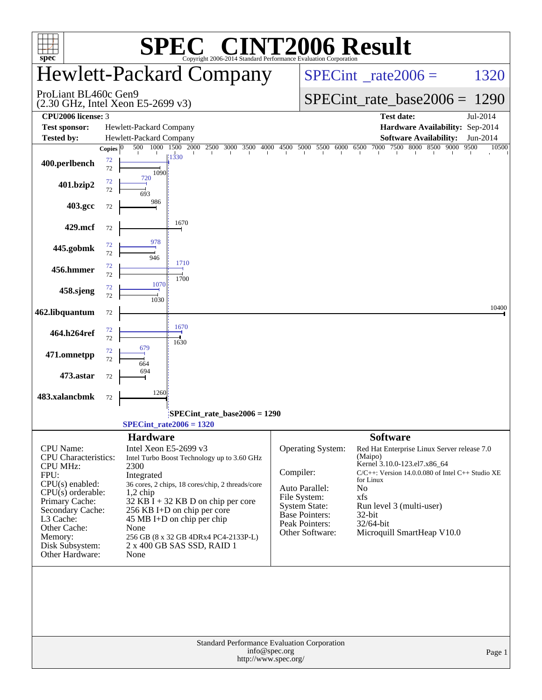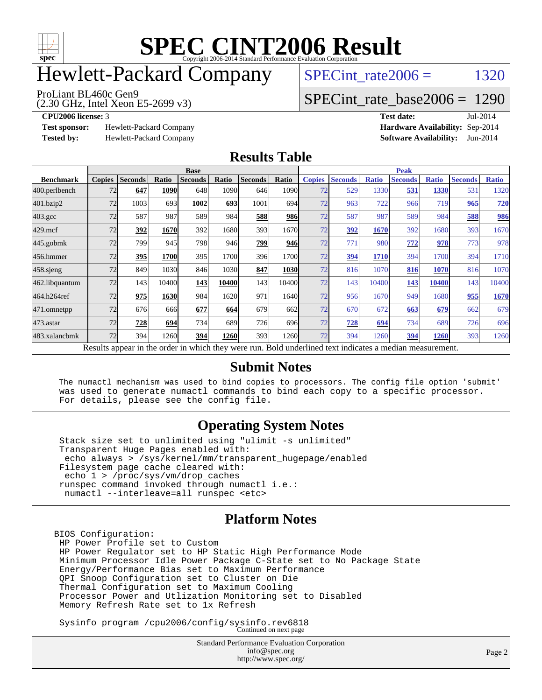

# Hewlett-Packard Company

SPECint rate $2006 =$  1320

ProLiant BL460c Gen9

[SPECint\\_rate\\_base2006 =](http://www.spec.org/auto/cpu2006/Docs/result-fields.html#SPECintratebase2006) 1290

**[Test sponsor:](http://www.spec.org/auto/cpu2006/Docs/result-fields.html#Testsponsor)** Hewlett-Packard Company **[Hardware Availability:](http://www.spec.org/auto/cpu2006/Docs/result-fields.html#HardwareAvailability)** Sep-2014

(2.30 GHz, Intel Xeon E5-2699 v3)

**[CPU2006 license:](http://www.spec.org/auto/cpu2006/Docs/result-fields.html#CPU2006license)** 3 **[Test date:](http://www.spec.org/auto/cpu2006/Docs/result-fields.html#Testdate)** Jul-2014 **[Tested by:](http://www.spec.org/auto/cpu2006/Docs/result-fields.html#Testedby)** Hewlett-Packard Company **[Software Availability:](http://www.spec.org/auto/cpu2006/Docs/result-fields.html#SoftwareAvailability)** Jun-2014

#### **[Results Table](http://www.spec.org/auto/cpu2006/Docs/result-fields.html#ResultsTable)**

|                    | <b>Base</b>   |                |       |                                                                                                          |       |                |             | <b>Peak</b>   |                |              |                |              |                |              |
|--------------------|---------------|----------------|-------|----------------------------------------------------------------------------------------------------------|-------|----------------|-------------|---------------|----------------|--------------|----------------|--------------|----------------|--------------|
| <b>Benchmark</b>   | <b>Copies</b> | <b>Seconds</b> | Ratio | <b>Seconds</b>                                                                                           | Ratio | <b>Seconds</b> | Ratio       | <b>Copies</b> | <b>Seconds</b> | <b>Ratio</b> | <b>Seconds</b> | <b>Ratio</b> | <b>Seconds</b> | <b>Ratio</b> |
| 400.perlbench      | 72            | 647            | 1090  | 648                                                                                                      | 1090  | 646            | 1090l       | 72            | 529            | 1330         | 531            | 1330         | 531            | 1320         |
| 401.bzip2          | 72            | 1003           | 693   | 1002                                                                                                     | 693   | 1001           | 694l        | 72            | 963            | 722          | 966            | 719          | 965            | <b>720</b>   |
| $403.\mathrm{gcc}$ | 72            | 587            | 987   | 589                                                                                                      | 984   | 588            | 986         | 72            | 587            | 987          | 589            | 984          | 588            | <u>986</u>   |
| $429$ .mcf         | 72            | 392            | 1670  | 392                                                                                                      | 1680  | 393            | 1670        | 72            | 392            | 1670         | 392            | 1680         | 393            | 1670         |
| $445$ .gobmk       | 72            | 799            | 945   | 798                                                                                                      | 946   | 799            | 946         | 72            | 771            | 980          | 772            | 978          | 773            | 978          |
| 456.hmmer          | 72            | 395            | 1700  | 395                                                                                                      | 1700  | 396            | 1700        | 72            | 394            | 1710         | 394            | 1700         | 394            | 1710         |
| $458$ .sjeng       | 72            | 849            | 1030  | 846                                                                                                      | 1030  | 847            | <b>1030</b> | 72            | 816            | 1070         | 816            | 1070         | 816            | 1070         |
| 462.libquantum     | 72            | 143            | 10400 | 143                                                                                                      | 10400 | 143            | 10400       | 72            | 143            | 10400        | 143            | 10400        | 143            | 10400        |
| 464.h264ref        | 72            | 975            | 1630  | 984                                                                                                      | 1620  | 971            | 16401       | 72            | 956            | 1670         | 949            | 1680         | 955            | 1670         |
| 471.omnetpp        | 72            | 676            | 666   | 677                                                                                                      | 664   | 679            | 662         | 72            | 670            | 672          | 663            | 679          | 662            | 679          |
| $473$ . astar      | 72            | 728            | 694   | 734                                                                                                      | 689   | 726            | 696         | 72            | 728            | 694          | 734            | 689          | 726            | 696          |
| 483.xalancbmk      | 72            | 394            | 1260  | 394                                                                                                      | 1260  | 393            | 1260        | 72            | 394            | 1260         | 394            | 1260         | 393            | 1260         |
|                    |               |                |       | Results appear in the order in which they were run. Bold underlined text indicates a median measurement. |       |                |             |               |                |              |                |              |                |              |

#### **[Submit Notes](http://www.spec.org/auto/cpu2006/Docs/result-fields.html#SubmitNotes)**

 The numactl mechanism was used to bind copies to processors. The config file option 'submit' was used to generate numactl commands to bind each copy to a specific processor. For details, please see the config file.

#### **[Operating System Notes](http://www.spec.org/auto/cpu2006/Docs/result-fields.html#OperatingSystemNotes)**

 Stack size set to unlimited using "ulimit -s unlimited" Transparent Huge Pages enabled with: echo always > /sys/kernel/mm/transparent\_hugepage/enabled Filesystem page cache cleared with: echo 1 > /proc/sys/vm/drop\_caches runspec command invoked through numactl i.e.: numactl --interleave=all runspec <etc>

#### **[Platform Notes](http://www.spec.org/auto/cpu2006/Docs/result-fields.html#PlatformNotes)**

BIOS Configuration: HP Power Profile set to Custom HP Power Regulator set to HP Static High Performance Mode Minimum Processor Idle Power Package C-State set to No Package State Energy/Performance Bias set to Maximum Performance QPI Snoop Configuration set to Cluster on Die Thermal Configuration set to Maximum Cooling Processor Power and Utlization Monitoring set to Disabled Memory Refresh Rate set to 1x Refresh

Sysinfo program /cpu2006/config/sysinfo.rev6818 Continued on next page

Standard Performance Evaluation Corporation [info@spec.org](mailto:info@spec.org) <http://www.spec.org/>

Page 2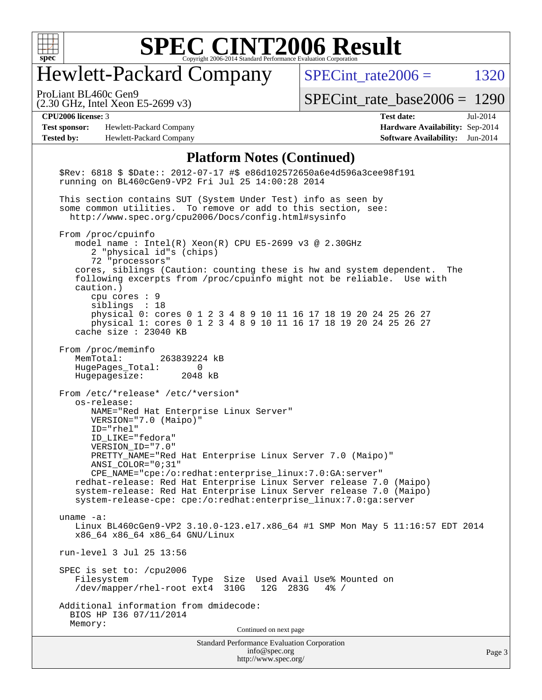

### Hewlett-Packard Company

SPECint rate $2006 =$  1320

(2.30 GHz, Intel Xeon E5-2699 v3) ProLiant BL460c Gen9

[SPECint\\_rate\\_base2006 =](http://www.spec.org/auto/cpu2006/Docs/result-fields.html#SPECintratebase2006) 1290

**[Test sponsor:](http://www.spec.org/auto/cpu2006/Docs/result-fields.html#Testsponsor)** Hewlett-Packard Company **[Hardware Availability:](http://www.spec.org/auto/cpu2006/Docs/result-fields.html#HardwareAvailability)** Sep-2014 **[Tested by:](http://www.spec.org/auto/cpu2006/Docs/result-fields.html#Testedby)** Hewlett-Packard Company **[Software Availability:](http://www.spec.org/auto/cpu2006/Docs/result-fields.html#SoftwareAvailability)** Jun-2014

**[CPU2006 license:](http://www.spec.org/auto/cpu2006/Docs/result-fields.html#CPU2006license)** 3 **[Test date:](http://www.spec.org/auto/cpu2006/Docs/result-fields.html#Testdate)** Jul-2014

#### **[Platform Notes \(Continued\)](http://www.spec.org/auto/cpu2006/Docs/result-fields.html#PlatformNotes)**

Standard Performance Evaluation Corporation [info@spec.org](mailto:info@spec.org) <http://www.spec.org/> Page 3 \$Rev: 6818 \$ \$Date:: 2012-07-17 #\$ e86d102572650a6e4d596a3cee98f191 running on BL460cGen9-VP2 Fri Jul 25 14:00:28 2014 This section contains SUT (System Under Test) info as seen by some common utilities. To remove or add to this section, see: <http://www.spec.org/cpu2006/Docs/config.html#sysinfo> From /proc/cpuinfo model name : Intel(R) Xeon(R) CPU E5-2699 v3 @ 2.30GHz 2 "physical id"s (chips) 72 "processors" cores, siblings (Caution: counting these is hw and system dependent. The following excerpts from /proc/cpuinfo might not be reliable. Use with caution.) cpu cores : 9 siblings : 18 physical 0: cores 0 1 2 3 4 8 9 10 11 16 17 18 19 20 24 25 26 27 physical 1: cores 0 1 2 3 4 8 9 10 11 16 17 18 19 20 24 25 26 27 cache size : 23040 KB From /proc/meminfo MemTotal: 263839224 kB HugePages\_Total: 0 Hugepagesize: 2048 kB From /etc/\*release\* /etc/\*version\* os-release: NAME="Red Hat Enterprise Linux Server" VERSION="7.0 (Maipo)" ID="rhel" ID\_LIKE="fedora" VERSION\_ID="7.0" PRETTY\_NAME="Red Hat Enterprise Linux Server 7.0 (Maipo)" ANSI\_COLOR="0;31" CPE\_NAME="cpe:/o:redhat:enterprise\_linux:7.0:GA:server" redhat-release: Red Hat Enterprise Linux Server release 7.0 (Maipo) system-release: Red Hat Enterprise Linux Server release 7.0 (Maipo) system-release-cpe: cpe:/o:redhat:enterprise\_linux:7.0:ga:server uname -a: Linux BL460cGen9-VP2 3.10.0-123.el7.x86\_64 #1 SMP Mon May 5 11:16:57 EDT 2014 x86\_64 x86\_64 x86\_64 GNU/Linux run-level 3 Jul 25 13:56 SPEC is set to: /cpu2006 Type Size Used Avail Use% Mounted on<br>ext4 310G 12G 283G 4% / /dev/mapper/rhel-root ext4 310G Additional information from dmidecode: BIOS HP I36 07/11/2014 Memory: Continued on next page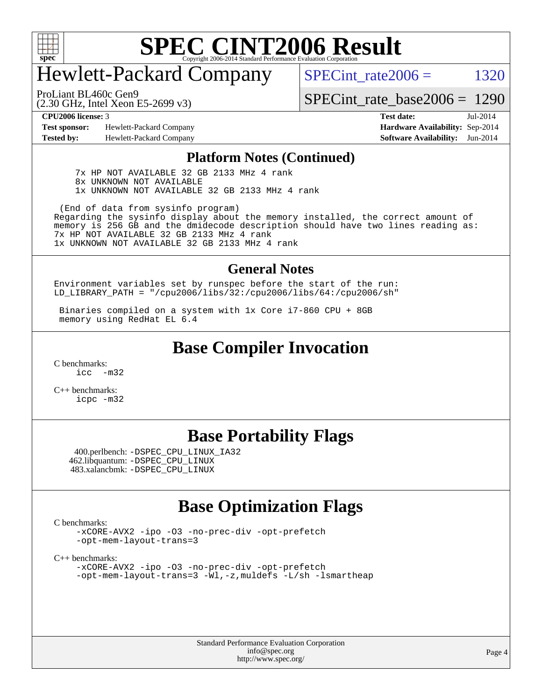

## Hewlett-Packard Company

SPECint rate $2006 =$  1320

(2.30 GHz, Intel Xeon E5-2699 v3) ProLiant BL460c Gen9

[SPECint\\_rate\\_base2006 =](http://www.spec.org/auto/cpu2006/Docs/result-fields.html#SPECintratebase2006) 1290

**[Test sponsor:](http://www.spec.org/auto/cpu2006/Docs/result-fields.html#Testsponsor)** Hewlett-Packard Company **[Hardware Availability:](http://www.spec.org/auto/cpu2006/Docs/result-fields.html#HardwareAvailability)** Sep-2014 **[Tested by:](http://www.spec.org/auto/cpu2006/Docs/result-fields.html#Testedby)** Hewlett-Packard Company **[Software Availability:](http://www.spec.org/auto/cpu2006/Docs/result-fields.html#SoftwareAvailability)** Jun-2014

**[CPU2006 license:](http://www.spec.org/auto/cpu2006/Docs/result-fields.html#CPU2006license)** 3 **[Test date:](http://www.spec.org/auto/cpu2006/Docs/result-fields.html#Testdate)** Jul-2014

#### **[Platform Notes \(Continued\)](http://www.spec.org/auto/cpu2006/Docs/result-fields.html#PlatformNotes)**

 7x HP NOT AVAILABLE 32 GB 2133 MHz 4 rank 8x UNKNOWN NOT AVAILABLE 1x UNKNOWN NOT AVAILABLE 32 GB 2133 MHz 4 rank

 (End of data from sysinfo program) Regarding the sysinfo display about the memory installed, the correct amount of memory is 256 GB and the dmidecode description should have two lines reading as: 7x HP NOT AVAILABLE 32 GB 2133 MHz 4 rank 1x UNKNOWN NOT AVAILABLE 32 GB 2133 MHz 4 rank

#### **[General Notes](http://www.spec.org/auto/cpu2006/Docs/result-fields.html#GeneralNotes)**

Environment variables set by runspec before the start of the run: LD\_LIBRARY\_PATH = "/cpu2006/libs/32:/cpu2006/libs/64:/cpu2006/sh"

 Binaries compiled on a system with 1x Core i7-860 CPU + 8GB memory using RedHat EL 6.4

#### **[Base Compiler Invocation](http://www.spec.org/auto/cpu2006/Docs/result-fields.html#BaseCompilerInvocation)**

[C benchmarks](http://www.spec.org/auto/cpu2006/Docs/result-fields.html#Cbenchmarks):  $inc -m32$ 

[C++ benchmarks:](http://www.spec.org/auto/cpu2006/Docs/result-fields.html#CXXbenchmarks) [icpc -m32](http://www.spec.org/cpu2006/results/res2014q3/cpu2006-20140908-31242.flags.html#user_CXXbase_intel_icpc_4e5a5ef1a53fd332b3c49e69c3330699)

#### **[Base Portability Flags](http://www.spec.org/auto/cpu2006/Docs/result-fields.html#BasePortabilityFlags)**

 400.perlbench: [-DSPEC\\_CPU\\_LINUX\\_IA32](http://www.spec.org/cpu2006/results/res2014q3/cpu2006-20140908-31242.flags.html#b400.perlbench_baseCPORTABILITY_DSPEC_CPU_LINUX_IA32) 462.libquantum: [-DSPEC\\_CPU\\_LINUX](http://www.spec.org/cpu2006/results/res2014q3/cpu2006-20140908-31242.flags.html#b462.libquantum_baseCPORTABILITY_DSPEC_CPU_LINUX) 483.xalancbmk: [-DSPEC\\_CPU\\_LINUX](http://www.spec.org/cpu2006/results/res2014q3/cpu2006-20140908-31242.flags.html#b483.xalancbmk_baseCXXPORTABILITY_DSPEC_CPU_LINUX)

#### **[Base Optimization Flags](http://www.spec.org/auto/cpu2006/Docs/result-fields.html#BaseOptimizationFlags)**

[C benchmarks](http://www.spec.org/auto/cpu2006/Docs/result-fields.html#Cbenchmarks):

[-xCORE-AVX2](http://www.spec.org/cpu2006/results/res2014q3/cpu2006-20140908-31242.flags.html#user_CCbase_f-xAVX2_5f5fc0cbe2c9f62c816d3e45806c70d7) [-ipo](http://www.spec.org/cpu2006/results/res2014q3/cpu2006-20140908-31242.flags.html#user_CCbase_f-ipo) [-O3](http://www.spec.org/cpu2006/results/res2014q3/cpu2006-20140908-31242.flags.html#user_CCbase_f-O3) [-no-prec-div](http://www.spec.org/cpu2006/results/res2014q3/cpu2006-20140908-31242.flags.html#user_CCbase_f-no-prec-div) [-opt-prefetch](http://www.spec.org/cpu2006/results/res2014q3/cpu2006-20140908-31242.flags.html#user_CCbase_f-opt-prefetch) [-opt-mem-layout-trans=3](http://www.spec.org/cpu2006/results/res2014q3/cpu2006-20140908-31242.flags.html#user_CCbase_f-opt-mem-layout-trans_a7b82ad4bd7abf52556d4961a2ae94d5)

[C++ benchmarks:](http://www.spec.org/auto/cpu2006/Docs/result-fields.html#CXXbenchmarks)

[-xCORE-AVX2](http://www.spec.org/cpu2006/results/res2014q3/cpu2006-20140908-31242.flags.html#user_CXXbase_f-xAVX2_5f5fc0cbe2c9f62c816d3e45806c70d7) [-ipo](http://www.spec.org/cpu2006/results/res2014q3/cpu2006-20140908-31242.flags.html#user_CXXbase_f-ipo) [-O3](http://www.spec.org/cpu2006/results/res2014q3/cpu2006-20140908-31242.flags.html#user_CXXbase_f-O3) [-no-prec-div](http://www.spec.org/cpu2006/results/res2014q3/cpu2006-20140908-31242.flags.html#user_CXXbase_f-no-prec-div) [-opt-prefetch](http://www.spec.org/cpu2006/results/res2014q3/cpu2006-20140908-31242.flags.html#user_CXXbase_f-opt-prefetch) [-opt-mem-layout-trans=3](http://www.spec.org/cpu2006/results/res2014q3/cpu2006-20140908-31242.flags.html#user_CXXbase_f-opt-mem-layout-trans_a7b82ad4bd7abf52556d4961a2ae94d5) [-Wl,-z,muldefs](http://www.spec.org/cpu2006/results/res2014q3/cpu2006-20140908-31242.flags.html#user_CXXbase_link_force_multiple1_74079c344b956b9658436fd1b6dd3a8a) [-L/sh -lsmartheap](http://www.spec.org/cpu2006/results/res2014q3/cpu2006-20140908-31242.flags.html#user_CXXbase_SmartHeap_32f6c82aa1ed9c52345d30cf6e4a0499)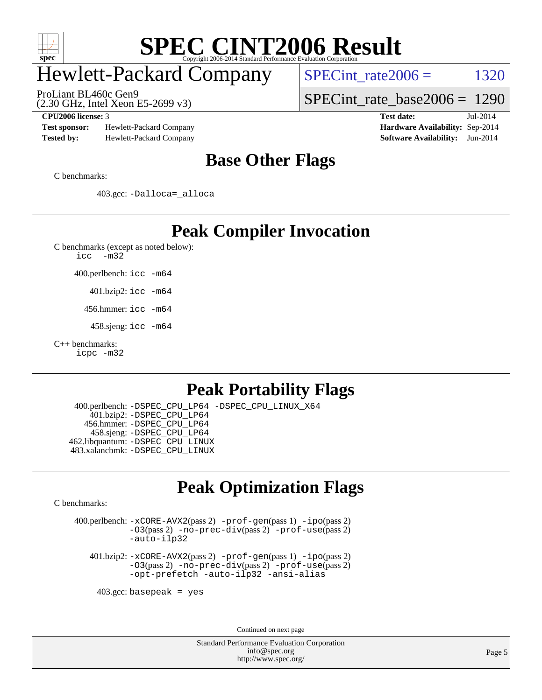

## Hewlett-Packard Company

ProLiant BL460c Gen9

SPECint rate $2006 =$  1320

[SPECint\\_rate\\_base2006 =](http://www.spec.org/auto/cpu2006/Docs/result-fields.html#SPECintratebase2006) 1290

**[Test sponsor:](http://www.spec.org/auto/cpu2006/Docs/result-fields.html#Testsponsor)** Hewlett-Packard Company **[Hardware Availability:](http://www.spec.org/auto/cpu2006/Docs/result-fields.html#HardwareAvailability)** Sep-2014 **[Tested by:](http://www.spec.org/auto/cpu2006/Docs/result-fields.html#Testedby)** Hewlett-Packard Company **[Software Availability:](http://www.spec.org/auto/cpu2006/Docs/result-fields.html#SoftwareAvailability)** Jun-2014

(2.30 GHz, Intel Xeon E5-2699 v3)

**[CPU2006 license:](http://www.spec.org/auto/cpu2006/Docs/result-fields.html#CPU2006license)** 3 **[Test date:](http://www.spec.org/auto/cpu2006/Docs/result-fields.html#Testdate)** Jul-2014

#### **[Base Other Flags](http://www.spec.org/auto/cpu2006/Docs/result-fields.html#BaseOtherFlags)**

[C benchmarks](http://www.spec.org/auto/cpu2006/Docs/result-fields.html#Cbenchmarks):

403.gcc: [-Dalloca=\\_alloca](http://www.spec.org/cpu2006/results/res2014q3/cpu2006-20140908-31242.flags.html#b403.gcc_baseEXTRA_CFLAGS_Dalloca_be3056838c12de2578596ca5467af7f3)

#### **[Peak Compiler Invocation](http://www.spec.org/auto/cpu2006/Docs/result-fields.html#PeakCompilerInvocation)**

[C benchmarks \(except as noted below\)](http://www.spec.org/auto/cpu2006/Docs/result-fields.html#Cbenchmarksexceptasnotedbelow):

[icc -m32](http://www.spec.org/cpu2006/results/res2014q3/cpu2006-20140908-31242.flags.html#user_CCpeak_intel_icc_5ff4a39e364c98233615fdd38438c6f2)

400.perlbench: [icc -m64](http://www.spec.org/cpu2006/results/res2014q3/cpu2006-20140908-31242.flags.html#user_peakCCLD400_perlbench_intel_icc_64bit_bda6cc9af1fdbb0edc3795bac97ada53)

401.bzip2: [icc -m64](http://www.spec.org/cpu2006/results/res2014q3/cpu2006-20140908-31242.flags.html#user_peakCCLD401_bzip2_intel_icc_64bit_bda6cc9af1fdbb0edc3795bac97ada53)

456.hmmer: [icc -m64](http://www.spec.org/cpu2006/results/res2014q3/cpu2006-20140908-31242.flags.html#user_peakCCLD456_hmmer_intel_icc_64bit_bda6cc9af1fdbb0edc3795bac97ada53)

458.sjeng: [icc -m64](http://www.spec.org/cpu2006/results/res2014q3/cpu2006-20140908-31242.flags.html#user_peakCCLD458_sjeng_intel_icc_64bit_bda6cc9af1fdbb0edc3795bac97ada53)

#### [C++ benchmarks:](http://www.spec.org/auto/cpu2006/Docs/result-fields.html#CXXbenchmarks)

[icpc -m32](http://www.spec.org/cpu2006/results/res2014q3/cpu2006-20140908-31242.flags.html#user_CXXpeak_intel_icpc_4e5a5ef1a53fd332b3c49e69c3330699)

#### **[Peak Portability Flags](http://www.spec.org/auto/cpu2006/Docs/result-fields.html#PeakPortabilityFlags)**

 400.perlbench: [-DSPEC\\_CPU\\_LP64](http://www.spec.org/cpu2006/results/res2014q3/cpu2006-20140908-31242.flags.html#b400.perlbench_peakCPORTABILITY_DSPEC_CPU_LP64) [-DSPEC\\_CPU\\_LINUX\\_X64](http://www.spec.org/cpu2006/results/res2014q3/cpu2006-20140908-31242.flags.html#b400.perlbench_peakCPORTABILITY_DSPEC_CPU_LINUX_X64) 401.bzip2: [-DSPEC\\_CPU\\_LP64](http://www.spec.org/cpu2006/results/res2014q3/cpu2006-20140908-31242.flags.html#suite_peakCPORTABILITY401_bzip2_DSPEC_CPU_LP64) 456.hmmer: [-DSPEC\\_CPU\\_LP64](http://www.spec.org/cpu2006/results/res2014q3/cpu2006-20140908-31242.flags.html#suite_peakCPORTABILITY456_hmmer_DSPEC_CPU_LP64) 458.sjeng: [-DSPEC\\_CPU\\_LP64](http://www.spec.org/cpu2006/results/res2014q3/cpu2006-20140908-31242.flags.html#suite_peakCPORTABILITY458_sjeng_DSPEC_CPU_LP64) 462.libquantum: [-DSPEC\\_CPU\\_LINUX](http://www.spec.org/cpu2006/results/res2014q3/cpu2006-20140908-31242.flags.html#b462.libquantum_peakCPORTABILITY_DSPEC_CPU_LINUX) 483.xalancbmk: [-DSPEC\\_CPU\\_LINUX](http://www.spec.org/cpu2006/results/res2014q3/cpu2006-20140908-31242.flags.html#b483.xalancbmk_peakCXXPORTABILITY_DSPEC_CPU_LINUX)

### **[Peak Optimization Flags](http://www.spec.org/auto/cpu2006/Docs/result-fields.html#PeakOptimizationFlags)**

[C benchmarks](http://www.spec.org/auto/cpu2006/Docs/result-fields.html#Cbenchmarks):

 400.perlbench: [-xCORE-AVX2](http://www.spec.org/cpu2006/results/res2014q3/cpu2006-20140908-31242.flags.html#user_peakPASS2_CFLAGSPASS2_LDCFLAGS400_perlbench_f-xAVX2_5f5fc0cbe2c9f62c816d3e45806c70d7)(pass 2) [-prof-gen](http://www.spec.org/cpu2006/results/res2014q3/cpu2006-20140908-31242.flags.html#user_peakPASS1_CFLAGSPASS1_LDCFLAGS400_perlbench_prof_gen_e43856698f6ca7b7e442dfd80e94a8fc)(pass 1) [-ipo](http://www.spec.org/cpu2006/results/res2014q3/cpu2006-20140908-31242.flags.html#user_peakPASS2_CFLAGSPASS2_LDCFLAGS400_perlbench_f-ipo)(pass 2) [-O3](http://www.spec.org/cpu2006/results/res2014q3/cpu2006-20140908-31242.flags.html#user_peakPASS2_CFLAGSPASS2_LDCFLAGS400_perlbench_f-O3)(pass 2) [-no-prec-div](http://www.spec.org/cpu2006/results/res2014q3/cpu2006-20140908-31242.flags.html#user_peakPASS2_CFLAGSPASS2_LDCFLAGS400_perlbench_f-no-prec-div)(pass 2) [-prof-use](http://www.spec.org/cpu2006/results/res2014q3/cpu2006-20140908-31242.flags.html#user_peakPASS2_CFLAGSPASS2_LDCFLAGS400_perlbench_prof_use_bccf7792157ff70d64e32fe3e1250b55)(pass 2) [-auto-ilp32](http://www.spec.org/cpu2006/results/res2014q3/cpu2006-20140908-31242.flags.html#user_peakCOPTIMIZE400_perlbench_f-auto-ilp32)

 401.bzip2: [-xCORE-AVX2](http://www.spec.org/cpu2006/results/res2014q3/cpu2006-20140908-31242.flags.html#user_peakPASS2_CFLAGSPASS2_LDCFLAGS401_bzip2_f-xAVX2_5f5fc0cbe2c9f62c816d3e45806c70d7)(pass 2) [-prof-gen](http://www.spec.org/cpu2006/results/res2014q3/cpu2006-20140908-31242.flags.html#user_peakPASS1_CFLAGSPASS1_LDCFLAGS401_bzip2_prof_gen_e43856698f6ca7b7e442dfd80e94a8fc)(pass 1) [-ipo](http://www.spec.org/cpu2006/results/res2014q3/cpu2006-20140908-31242.flags.html#user_peakPASS2_CFLAGSPASS2_LDCFLAGS401_bzip2_f-ipo)(pass 2) [-O3](http://www.spec.org/cpu2006/results/res2014q3/cpu2006-20140908-31242.flags.html#user_peakPASS2_CFLAGSPASS2_LDCFLAGS401_bzip2_f-O3)(pass 2) [-no-prec-div](http://www.spec.org/cpu2006/results/res2014q3/cpu2006-20140908-31242.flags.html#user_peakPASS2_CFLAGSPASS2_LDCFLAGS401_bzip2_f-no-prec-div)(pass 2) [-prof-use](http://www.spec.org/cpu2006/results/res2014q3/cpu2006-20140908-31242.flags.html#user_peakPASS2_CFLAGSPASS2_LDCFLAGS401_bzip2_prof_use_bccf7792157ff70d64e32fe3e1250b55)(pass 2) [-opt-prefetch](http://www.spec.org/cpu2006/results/res2014q3/cpu2006-20140908-31242.flags.html#user_peakCOPTIMIZE401_bzip2_f-opt-prefetch) [-auto-ilp32](http://www.spec.org/cpu2006/results/res2014q3/cpu2006-20140908-31242.flags.html#user_peakCOPTIMIZE401_bzip2_f-auto-ilp32) [-ansi-alias](http://www.spec.org/cpu2006/results/res2014q3/cpu2006-20140908-31242.flags.html#user_peakCOPTIMIZE401_bzip2_f-ansi-alias)

 $403.\text{gcc: basepeak}$  = yes

Continued on next page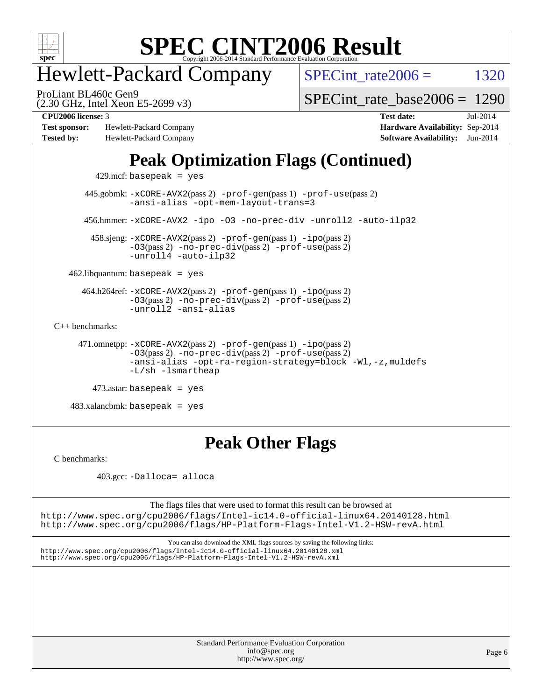

### Hewlett-Packard Company

SPECint rate $2006 =$  1320

(2.30 GHz, Intel Xeon E5-2699 v3) ProLiant BL460c Gen9

[SPECint\\_rate\\_base2006 =](http://www.spec.org/auto/cpu2006/Docs/result-fields.html#SPECintratebase2006) 1290

**[Test sponsor:](http://www.spec.org/auto/cpu2006/Docs/result-fields.html#Testsponsor)** Hewlett-Packard Company **[Hardware Availability:](http://www.spec.org/auto/cpu2006/Docs/result-fields.html#HardwareAvailability)** Sep-2014 **[Tested by:](http://www.spec.org/auto/cpu2006/Docs/result-fields.html#Testedby)** Hewlett-Packard Company **[Software Availability:](http://www.spec.org/auto/cpu2006/Docs/result-fields.html#SoftwareAvailability)** Jun-2014

**[CPU2006 license:](http://www.spec.org/auto/cpu2006/Docs/result-fields.html#CPU2006license)** 3 **[Test date:](http://www.spec.org/auto/cpu2006/Docs/result-fields.html#Testdate)** Jul-2014

### **[Peak Optimization Flags \(Continued\)](http://www.spec.org/auto/cpu2006/Docs/result-fields.html#PeakOptimizationFlags)**

429.mcf: basepeak = yes

 445.gobmk: [-xCORE-AVX2](http://www.spec.org/cpu2006/results/res2014q3/cpu2006-20140908-31242.flags.html#user_peakPASS2_CFLAGSPASS2_LDCFLAGS445_gobmk_f-xAVX2_5f5fc0cbe2c9f62c816d3e45806c70d7)(pass 2) [-prof-gen](http://www.spec.org/cpu2006/results/res2014q3/cpu2006-20140908-31242.flags.html#user_peakPASS1_CFLAGSPASS1_LDCFLAGS445_gobmk_prof_gen_e43856698f6ca7b7e442dfd80e94a8fc)(pass 1) [-prof-use](http://www.spec.org/cpu2006/results/res2014q3/cpu2006-20140908-31242.flags.html#user_peakPASS2_CFLAGSPASS2_LDCFLAGS445_gobmk_prof_use_bccf7792157ff70d64e32fe3e1250b55)(pass 2) [-ansi-alias](http://www.spec.org/cpu2006/results/res2014q3/cpu2006-20140908-31242.flags.html#user_peakCOPTIMIZE445_gobmk_f-ansi-alias) [-opt-mem-layout-trans=3](http://www.spec.org/cpu2006/results/res2014q3/cpu2006-20140908-31242.flags.html#user_peakCOPTIMIZE445_gobmk_f-opt-mem-layout-trans_a7b82ad4bd7abf52556d4961a2ae94d5) 456.hmmer: [-xCORE-AVX2](http://www.spec.org/cpu2006/results/res2014q3/cpu2006-20140908-31242.flags.html#user_peakCOPTIMIZE456_hmmer_f-xAVX2_5f5fc0cbe2c9f62c816d3e45806c70d7) [-ipo](http://www.spec.org/cpu2006/results/res2014q3/cpu2006-20140908-31242.flags.html#user_peakCOPTIMIZE456_hmmer_f-ipo) [-O3](http://www.spec.org/cpu2006/results/res2014q3/cpu2006-20140908-31242.flags.html#user_peakCOPTIMIZE456_hmmer_f-O3) [-no-prec-div](http://www.spec.org/cpu2006/results/res2014q3/cpu2006-20140908-31242.flags.html#user_peakCOPTIMIZE456_hmmer_f-no-prec-div) [-unroll2](http://www.spec.org/cpu2006/results/res2014q3/cpu2006-20140908-31242.flags.html#user_peakCOPTIMIZE456_hmmer_f-unroll_784dae83bebfb236979b41d2422d7ec2) [-auto-ilp32](http://www.spec.org/cpu2006/results/res2014q3/cpu2006-20140908-31242.flags.html#user_peakCOPTIMIZE456_hmmer_f-auto-ilp32)

 458.sjeng: [-xCORE-AVX2](http://www.spec.org/cpu2006/results/res2014q3/cpu2006-20140908-31242.flags.html#user_peakPASS2_CFLAGSPASS2_LDCFLAGS458_sjeng_f-xAVX2_5f5fc0cbe2c9f62c816d3e45806c70d7)(pass 2) [-prof-gen](http://www.spec.org/cpu2006/results/res2014q3/cpu2006-20140908-31242.flags.html#user_peakPASS1_CFLAGSPASS1_LDCFLAGS458_sjeng_prof_gen_e43856698f6ca7b7e442dfd80e94a8fc)(pass 1) [-ipo](http://www.spec.org/cpu2006/results/res2014q3/cpu2006-20140908-31242.flags.html#user_peakPASS2_CFLAGSPASS2_LDCFLAGS458_sjeng_f-ipo)(pass 2) [-O3](http://www.spec.org/cpu2006/results/res2014q3/cpu2006-20140908-31242.flags.html#user_peakPASS2_CFLAGSPASS2_LDCFLAGS458_sjeng_f-O3)(pass 2) [-no-prec-div](http://www.spec.org/cpu2006/results/res2014q3/cpu2006-20140908-31242.flags.html#user_peakPASS2_CFLAGSPASS2_LDCFLAGS458_sjeng_f-no-prec-div)(pass 2) [-prof-use](http://www.spec.org/cpu2006/results/res2014q3/cpu2006-20140908-31242.flags.html#user_peakPASS2_CFLAGSPASS2_LDCFLAGS458_sjeng_prof_use_bccf7792157ff70d64e32fe3e1250b55)(pass 2) [-unroll4](http://www.spec.org/cpu2006/results/res2014q3/cpu2006-20140908-31242.flags.html#user_peakCOPTIMIZE458_sjeng_f-unroll_4e5e4ed65b7fd20bdcd365bec371b81f) [-auto-ilp32](http://www.spec.org/cpu2006/results/res2014q3/cpu2006-20140908-31242.flags.html#user_peakCOPTIMIZE458_sjeng_f-auto-ilp32)

 $462$ .libquantum: basepeak = yes

 464.h264ref: [-xCORE-AVX2](http://www.spec.org/cpu2006/results/res2014q3/cpu2006-20140908-31242.flags.html#user_peakPASS2_CFLAGSPASS2_LDCFLAGS464_h264ref_f-xAVX2_5f5fc0cbe2c9f62c816d3e45806c70d7)(pass 2) [-prof-gen](http://www.spec.org/cpu2006/results/res2014q3/cpu2006-20140908-31242.flags.html#user_peakPASS1_CFLAGSPASS1_LDCFLAGS464_h264ref_prof_gen_e43856698f6ca7b7e442dfd80e94a8fc)(pass 1) [-ipo](http://www.spec.org/cpu2006/results/res2014q3/cpu2006-20140908-31242.flags.html#user_peakPASS2_CFLAGSPASS2_LDCFLAGS464_h264ref_f-ipo)(pass 2) [-O3](http://www.spec.org/cpu2006/results/res2014q3/cpu2006-20140908-31242.flags.html#user_peakPASS2_CFLAGSPASS2_LDCFLAGS464_h264ref_f-O3)(pass 2) [-no-prec-div](http://www.spec.org/cpu2006/results/res2014q3/cpu2006-20140908-31242.flags.html#user_peakPASS2_CFLAGSPASS2_LDCFLAGS464_h264ref_f-no-prec-div)(pass 2) [-prof-use](http://www.spec.org/cpu2006/results/res2014q3/cpu2006-20140908-31242.flags.html#user_peakPASS2_CFLAGSPASS2_LDCFLAGS464_h264ref_prof_use_bccf7792157ff70d64e32fe3e1250b55)(pass 2) [-unroll2](http://www.spec.org/cpu2006/results/res2014q3/cpu2006-20140908-31242.flags.html#user_peakCOPTIMIZE464_h264ref_f-unroll_784dae83bebfb236979b41d2422d7ec2) [-ansi-alias](http://www.spec.org/cpu2006/results/res2014q3/cpu2006-20140908-31242.flags.html#user_peakCOPTIMIZE464_h264ref_f-ansi-alias)

[C++ benchmarks:](http://www.spec.org/auto/cpu2006/Docs/result-fields.html#CXXbenchmarks)

 471.omnetpp: [-xCORE-AVX2](http://www.spec.org/cpu2006/results/res2014q3/cpu2006-20140908-31242.flags.html#user_peakPASS2_CXXFLAGSPASS2_LDCXXFLAGS471_omnetpp_f-xAVX2_5f5fc0cbe2c9f62c816d3e45806c70d7)(pass 2) [-prof-gen](http://www.spec.org/cpu2006/results/res2014q3/cpu2006-20140908-31242.flags.html#user_peakPASS1_CXXFLAGSPASS1_LDCXXFLAGS471_omnetpp_prof_gen_e43856698f6ca7b7e442dfd80e94a8fc)(pass 1) [-ipo](http://www.spec.org/cpu2006/results/res2014q3/cpu2006-20140908-31242.flags.html#user_peakPASS2_CXXFLAGSPASS2_LDCXXFLAGS471_omnetpp_f-ipo)(pass 2) [-O3](http://www.spec.org/cpu2006/results/res2014q3/cpu2006-20140908-31242.flags.html#user_peakPASS2_CXXFLAGSPASS2_LDCXXFLAGS471_omnetpp_f-O3)(pass 2) [-no-prec-div](http://www.spec.org/cpu2006/results/res2014q3/cpu2006-20140908-31242.flags.html#user_peakPASS2_CXXFLAGSPASS2_LDCXXFLAGS471_omnetpp_f-no-prec-div)(pass 2) [-prof-use](http://www.spec.org/cpu2006/results/res2014q3/cpu2006-20140908-31242.flags.html#user_peakPASS2_CXXFLAGSPASS2_LDCXXFLAGS471_omnetpp_prof_use_bccf7792157ff70d64e32fe3e1250b55)(pass 2) [-ansi-alias](http://www.spec.org/cpu2006/results/res2014q3/cpu2006-20140908-31242.flags.html#user_peakCXXOPTIMIZE471_omnetpp_f-ansi-alias) [-opt-ra-region-strategy=block](http://www.spec.org/cpu2006/results/res2014q3/cpu2006-20140908-31242.flags.html#user_peakCXXOPTIMIZE471_omnetpp_f-opt-ra-region-strategy_a0a37c372d03933b2a18d4af463c1f69) [-Wl,-z,muldefs](http://www.spec.org/cpu2006/results/res2014q3/cpu2006-20140908-31242.flags.html#user_peakEXTRA_LDFLAGS471_omnetpp_link_force_multiple1_74079c344b956b9658436fd1b6dd3a8a) [-L/sh -lsmartheap](http://www.spec.org/cpu2006/results/res2014q3/cpu2006-20140908-31242.flags.html#user_peakEXTRA_LIBS471_omnetpp_SmartHeap_32f6c82aa1ed9c52345d30cf6e4a0499)

 $473$ .astar: basepeak = yes

 $483.xalanchmk: basepeak = yes$ 

### **[Peak Other Flags](http://www.spec.org/auto/cpu2006/Docs/result-fields.html#PeakOtherFlags)**

[C benchmarks](http://www.spec.org/auto/cpu2006/Docs/result-fields.html#Cbenchmarks):

403.gcc: [-Dalloca=\\_alloca](http://www.spec.org/cpu2006/results/res2014q3/cpu2006-20140908-31242.flags.html#b403.gcc_peakEXTRA_CFLAGS_Dalloca_be3056838c12de2578596ca5467af7f3)

The flags files that were used to format this result can be browsed at

<http://www.spec.org/cpu2006/flags/Intel-ic14.0-official-linux64.20140128.html> <http://www.spec.org/cpu2006/flags/HP-Platform-Flags-Intel-V1.2-HSW-revA.html>

You can also download the XML flags sources by saving the following links: <http://www.spec.org/cpu2006/flags/Intel-ic14.0-official-linux64.20140128.xml> <http://www.spec.org/cpu2006/flags/HP-Platform-Flags-Intel-V1.2-HSW-revA.xml>